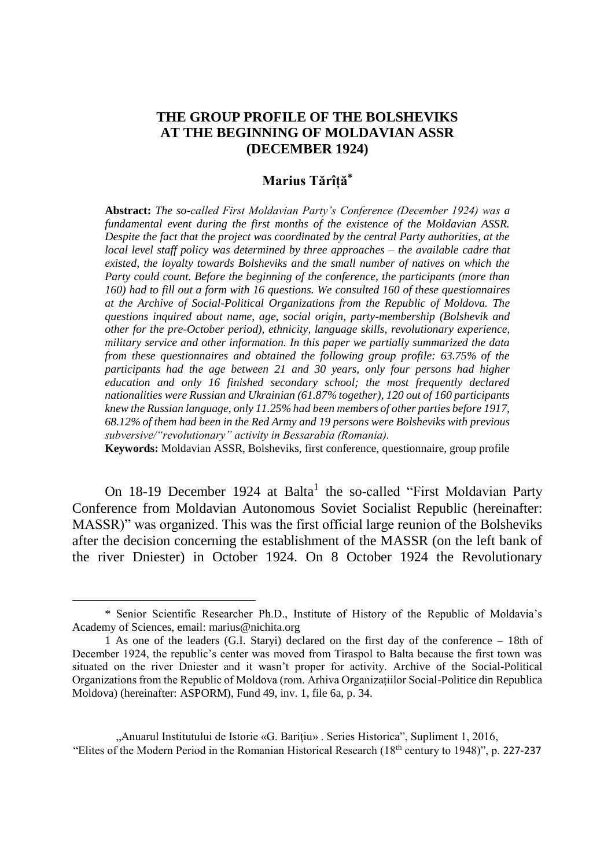# **THE GROUP PROFILE OF THE BOLSHEVIKS AT THE BEGINNING OF MOLDAVIAN ASSR (DECEMBER 1924)**

## **Marius Tărîță\***

**Abstract:** *The so-called First Moldavian Party's Conference (December 1924) was a fundamental event during the first months of the existence of the Moldavian ASSR. Despite the fact that the project was coordinated by the central Party authorities, at the local level staff policy was determined by three approaches – the available cadre that existed, the loyalty towards Bolsheviks and the small number of natives on which the Party could count. Before the beginning of the conference, the participants (more than 160) had to fill out a form with 16 questions. We consulted 160 of these questionnaires at the Archive of Social-Political Organizations from the Republic of Moldova. The questions inquired about name, age, social origin, party-membership (Bolshevik and other for the pre-October period), ethnicity, language skills, revolutionary experience, military service and other information. In this paper we partially summarized the data from these questionnaires and obtained the following group profile: 63.75% of the participants had the age between 21 and 30 years, only four persons had higher education and only 16 finished secondary school; the most frequently declared nationalities were Russian and Ukrainian (61.87% together), 120 out of 160 participants knew the Russian language, only 11.25% had been members of other parties before 1917, 68.12% of them had been in the Red Army and 19 persons were Bolsheviks with previous subversive/"revolutionary" activity in Bessarabia (Romania).*

**Keywords:** Moldavian ASSR, Bolsheviks, first conference, questionnaire, group profile

On 18-19 December 1924 at Balta<sup>1</sup> the so-called "First Moldavian Party Conference from Moldavian Autonomous Soviet Socialist Republic (hereinafter: MASSR)" was organized. This was the first official large reunion of the Bolsheviks after the decision concerning the establishment of the MASSR (on the left bank of the river Dniester) in October 1924. On 8 October 1924 the Revolutionary

 $\overline{a}$ 

<sup>\*</sup> Senior Scientific Researcher Ph.D., Institute of History of the Republic of Moldavia's Academy of Sciences, email: marius@nichita.org

<sup>1</sup> As one of the leaders (G.I. Staryi) declared on the first day of the conference – 18th of December 1924, the republic's center was moved from Tiraspol to Balta because the first town was situated on the river Dniester and it wasn't proper for activity. Archive of the Social-Political Organizations from the Republic of Moldova (rom. Arhiva Organizațiilor Social-Politice din Republica Moldova) (hereinafter: ASPORM), Fund 49, inv. 1, file 6a, p. 34.

<sup>&</sup>quot;Anuarul Institutului de Istorie «G. Bariţiu» . Series Historica", Supliment 1, 2016, "Elites of the Modern Period in the Romanian Historical Research (18th century to 1948)", p. 227-237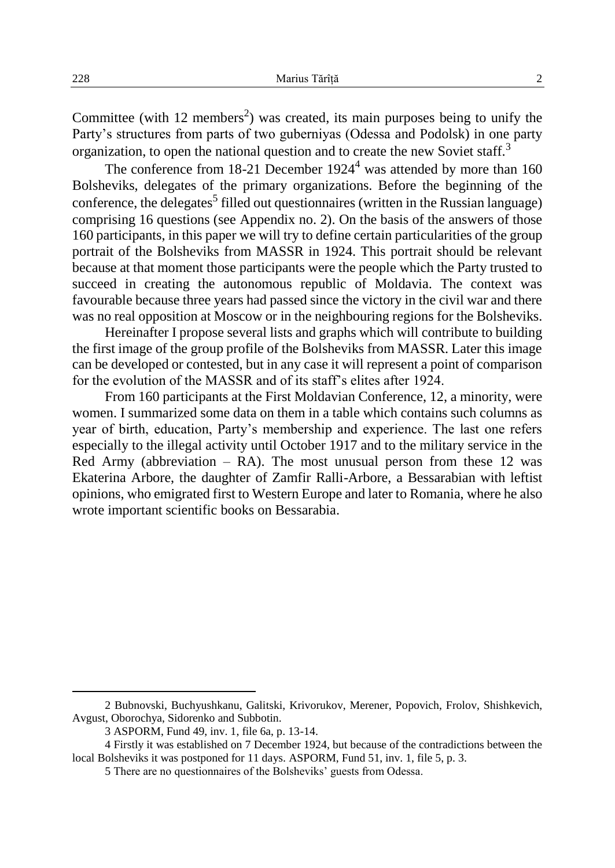Committee (with 12 members<sup>2</sup>) was created, its main purposes being to unify the Party's structures from parts of two guberniyas (Odessa and Podolsk) in one party organization, to open the national question and to create the new Soviet staff.<sup>3</sup>

The conference from  $18-21$  December  $1924<sup>4</sup>$  was attended by more than 160 Bolsheviks, delegates of the primary organizations. Before the beginning of the conference, the delegates<sup>5</sup> filled out questionnaires (written in the Russian language) comprising 16 questions (see Appendix no. 2). On the basis of the answers of those 160 participants, in this paper we will try to define certain particularities of the group portrait of the Bolsheviks from MASSR in 1924. This portrait should be relevant because at that moment those participants were the people which the Party trusted to succeed in creating the autonomous republic of Moldavia. The context was favourable because three years had passed since the victory in the civil war and there was no real opposition at Moscow or in the neighbouring regions for the Bolsheviks.

Hereinafter I propose several lists and graphs which will contribute to building the first image of the group profile of the Bolsheviks from MASSR. Later this image can be developed or contested, but in any case it will represent a point of comparison for the evolution of the MASSR and of its staff's elites after 1924.

From 160 participants at the First Moldavian Conference, 12, a minority, were women. I summarized some data on them in a table which contains such columns as year of birth, education, Party's membership and experience. The last one refers especially to the illegal activity until October 1917 and to the military service in the Red Army (abbreviation  $-$  RA). The most unusual person from these 12 was Ekaterina Arbore, the daughter of Zamfir Ralli-Arbore, a Bessarabian with leftist opinions, who emigrated first to Western Europe and later to Romania, where he also wrote important scientific books on Bessarabia.

 $\overline{\phantom{a}}$ 

<sup>2</sup> Bubnovski, Buchyushkanu, Galitski, Krivorukov, Merener, Popovich, Frolov, Shishkevich, Avgust, Oborochya, Sidorenko and Subbotin.

<sup>3</sup> ASPORM, Fund 49, inv. 1, file 6a, p. 13-14.

<sup>4</sup> Firstly it was established on 7 December 1924, but because of the contradictions between the local Bolsheviks it was postponed for 11 days. ASPORM, Fund 51, inv. 1, file 5, p. 3.

<sup>5</sup> There are no questionnaires of the Bolsheviks' guests from Odessa.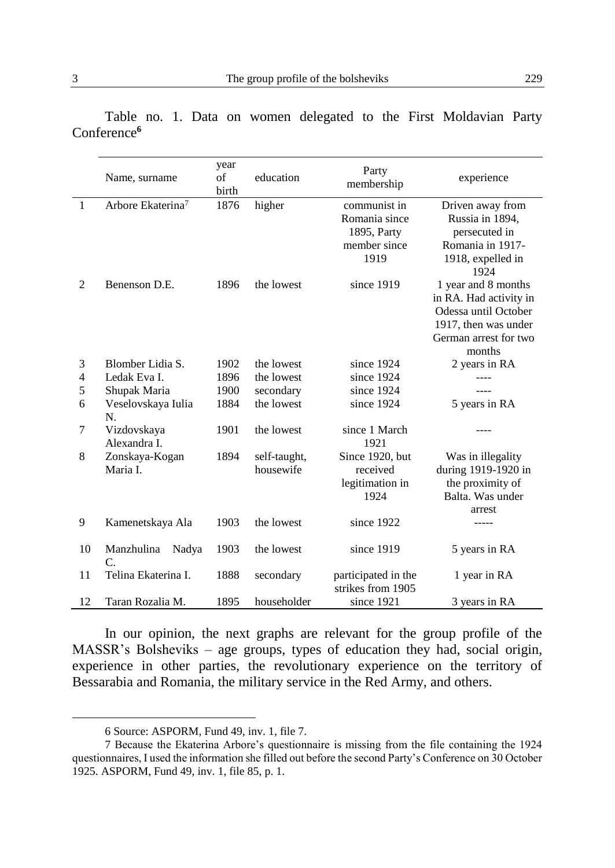|                | Name, surname                       | year<br>of<br>birth | education                 | Party<br>membership                                                  | experience                                                                                                                       |
|----------------|-------------------------------------|---------------------|---------------------------|----------------------------------------------------------------------|----------------------------------------------------------------------------------------------------------------------------------|
| $\mathbf{1}$   | Arbore Ekaterina <sup>7</sup>       | 1876                | higher                    | communist in<br>Romania since<br>1895, Party<br>member since<br>1919 | Driven away from<br>Russia in 1894,<br>persecuted in<br>Romania in 1917-<br>1918, expelled in<br>1924                            |
| $\overline{c}$ | Benenson D.E.                       | 1896                | the lowest                | since 1919                                                           | 1 year and 8 months<br>in RA. Had activity in<br>Odessa until October<br>1917, then was under<br>German arrest for two<br>months |
| 3              | Blomber Lidia S.                    | 1902                | the lowest                | since 1924                                                           | 2 years in RA                                                                                                                    |
| $\overline{4}$ | Ledak Eva I.                        | 1896                | the lowest                | since 1924                                                           |                                                                                                                                  |
| 5              | Shupak Maria                        | 1900                | secondary                 | since 1924                                                           |                                                                                                                                  |
| 6              | Veselovskaya Iulia<br>N.            | 1884                | the lowest                | since 1924                                                           | 5 years in RA                                                                                                                    |
| 7              | Vizdovskaya<br>Alexandra I.         | 1901                | the lowest                | since 1 March<br>1921                                                |                                                                                                                                  |
| 8              | Zonskaya-Kogan<br>Maria I.          | 1894                | self-taught,<br>housewife | Since 1920, but<br>received<br>legitimation in<br>1924               | Was in illegality<br>during 1919-1920 in<br>the proximity of<br>Balta. Was under<br>arrest                                       |
| 9              | Kamenetskaya Ala                    | 1903                | the lowest                | since 1922                                                           |                                                                                                                                  |
| 10             | Manzhulina<br>Nadya<br>$\mathsf{C}$ | 1903                | the lowest                | since 1919                                                           | 5 years in RA                                                                                                                    |
| 11             | Telina Ekaterina I.                 | 1888                | secondary                 | participated in the<br>strikes from 1905                             | 1 year in RA                                                                                                                     |
| 12             | Taran Rozalia M.                    | 1895                | householder               | since 1921                                                           | 3 years in RA                                                                                                                    |

Table no. 1. Data on women delegated to the First Moldavian Party Conference**<sup>6</sup>**

In our opinion, the next graphs are relevant for the group profile of the MASSR's Bolsheviks – age groups, types of education they had, social origin, experience in other parties, the revolutionary experience on the territory of Bessarabia and Romania, the military service in the Red Army, and others.

 $\overline{\phantom{a}}$ 

<sup>6</sup> Source: ASPORM, Fund 49, inv. 1, file 7.

<sup>7</sup> Because the Ekaterina Arbore's questionnaire is missing from the file containing the 1924 questionnaires, I used the information she filled out before the second Party's Conference on 30 October 1925. ASPORM, Fund 49, inv. 1, file 85, p. 1.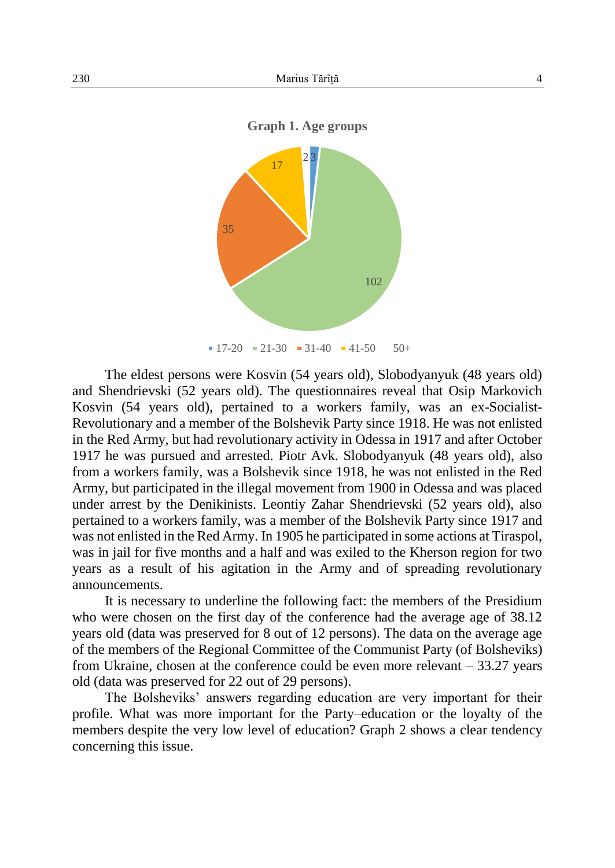

The eldest persons were Kosvin (54 years old), Slobodyanyuk (48 years old) and Shendrievski (52 years old). The questionnaires reveal that Osip Markovich Kosvin (54 years old), pertained to a workers family, was an ex-Socialist-Revolutionary and a member of the Bolshevik Party since 1918. He was not enlisted in the Red Army, but had revolutionary activity in Odessa in 1917 and after October 1917 he was pursued and arrested. Piotr Avk. Slobodyanyuk (48 years old), also from a workers family, was a Bolshevik since 1918, he was not enlisted in the Red Army, but participated in the illegal movement from 1900 in Odessa and was placed under arrest by the Denikinists. Leontiy Zahar Shendrievski (52 years old), also pertained to a workers family, was a member of the Bolshevik Party since 1917 and was not enlisted in the Red Army. In 1905 he participated in some actions at Tiraspol, was in jail for five months and a half and was exiled to the Kherson region for two years as a result of his agitation in the Army and of spreading revolutionary announcements.

It is necessary to underline the following fact: the members of the Presidium who were chosen on the first day of the conference had the average age of 38.12 years old (data was preserved for 8 out of 12 persons). The data on the average age of the members of the Regional Committee of the Communist Party (of Bolsheviks) from Ukraine, chosen at the conference could be even more relevant – 33.27 years old (data was preserved for 22 out of 29 persons).

The Bolsheviks' answers regarding education are very important for their profile. What was more important for the Party–education or the loyalty of the members despite the very low level of education? Graph 2 shows a clear tendency concerning this issue.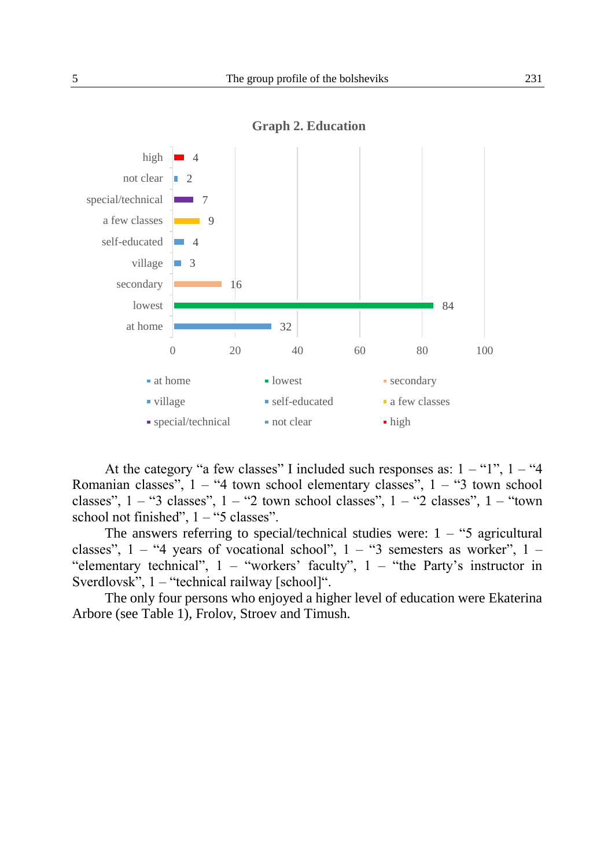

**Graph 2. Education**

At the category "a few classes" I included such responses as:  $1 -$  "1",  $1 -$  "4 Romanian classes",  $1 - 4$  town school elementary classes",  $1 - 3$  town school classes",  $1 -$  "3 classes",  $1 -$  "2 town school classes",  $1 -$  "2 classes",  $1 -$  "town school not finished",  $1 -$ "5 classes".

The answers referring to special/technical studies were:  $1 -$  "5 agricultural classes",  $1 -$  "4 years of vocational school",  $1 -$  "3 semesters as worker",  $1 -$ "elementary technical",  $1 -$  "workers' faculty",  $1 -$  "the Party's instructor in Sverdlovsk", 1 – "technical railway [school]".

The only four persons who enjoyed a higher level of education were Ekaterina Arbore (see Table 1), Frolov, Stroev and Timush.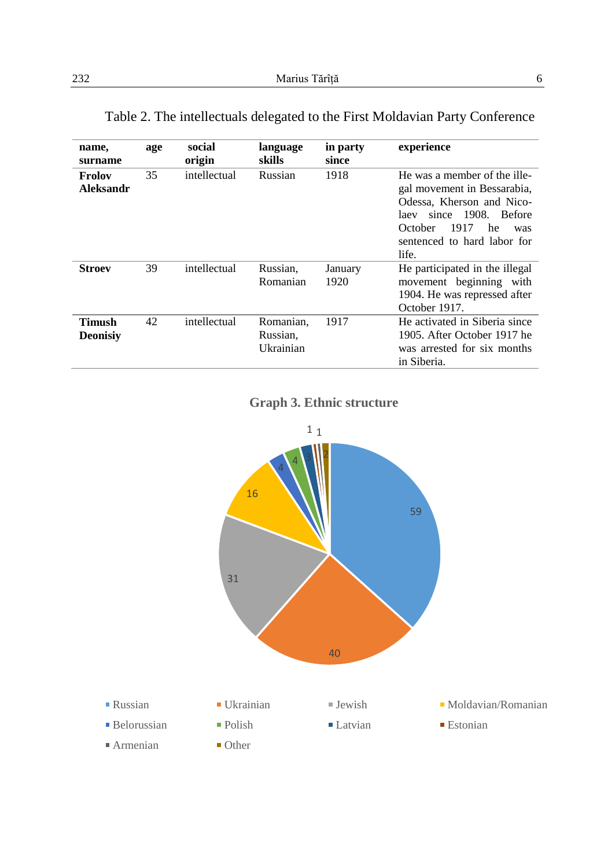| name,<br>surname          | age | social<br>origin | language<br>skills                 | in party<br>since | experience                                                                                                                                                                                        |
|---------------------------|-----|------------------|------------------------------------|-------------------|---------------------------------------------------------------------------------------------------------------------------------------------------------------------------------------------------|
| Frolov<br>Aleksandr       | 35  | intellectual     | Russian                            | 1918              | He was a member of the ille-<br>gal movement in Bessarabia,<br>Odessa. Kherson and Nico-<br>1908. Before<br>since<br>laev<br>1917<br>October<br>he<br>was<br>sentenced to hard labor for<br>life. |
| <b>Stroev</b>             | 39  | intellectual     | Russian,<br>Romanian               | January<br>1920   | He participated in the illegal<br>movement beginning with<br>1904. He was repressed after<br>October 1917.                                                                                        |
| Timush<br><b>Deonisiv</b> | 42  | intellectual     | Romanian,<br>Russian,<br>Ukrainian | 1917              | He activated in Siberia since<br>1905. After October 1917 he<br>was arrested for six months<br>in Siberia.                                                                                        |

Table 2. The intellectuals delegated to the First Moldavian Party Conference

**Graph 3. Ethnic structure**

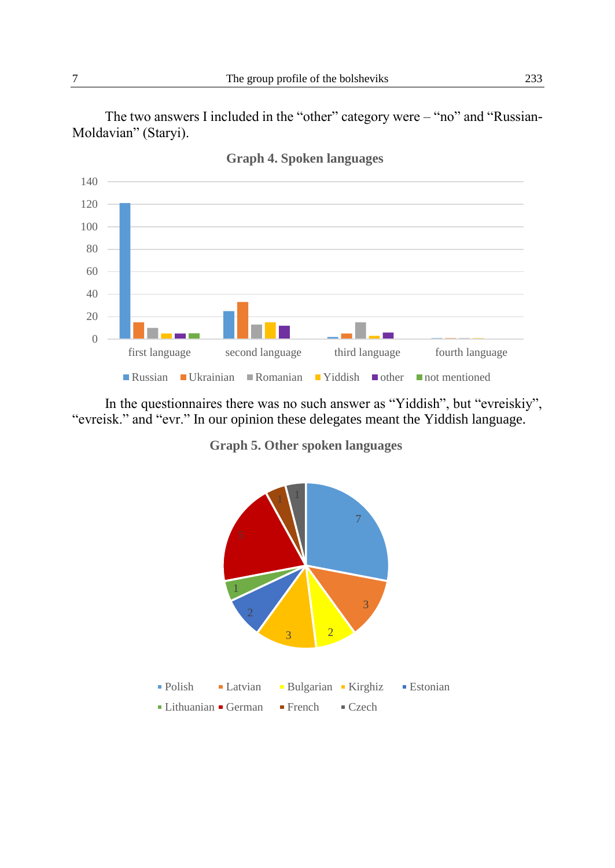The two answers I included in the "other" category were – "no" and "Russian-Moldavian" (Staryi).



**Graph 4. Spoken languages**

In the questionnaires there was no such answer as "Yiddish", but "evreiskiy", "evreisk." and "evr." In our opinion these delegates meant the Yiddish language.

**Graph 5. Other spoken languages**

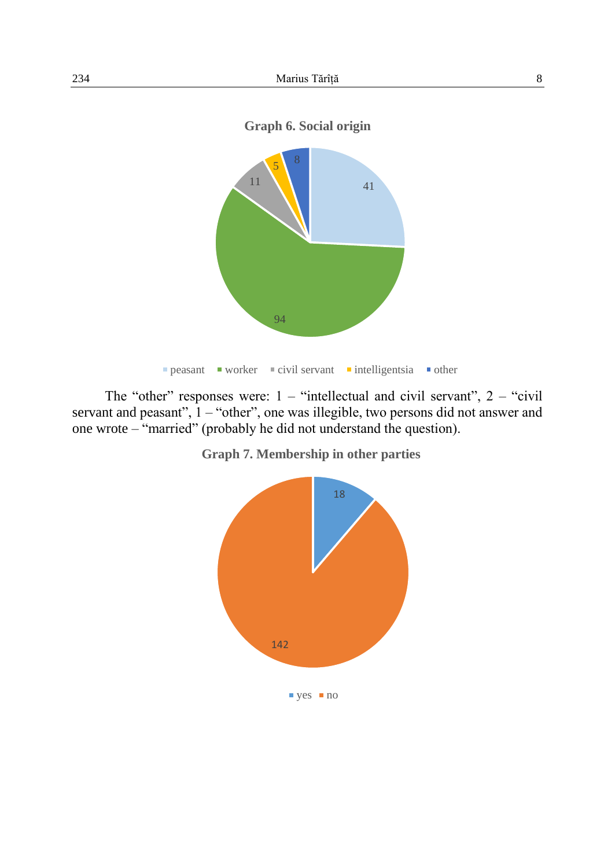



The "other" responses were:  $1 -$  "intellectual and civil servant",  $2 -$  "civil" servant and peasant", 1 – "other", one was illegible, two persons did not answer and one wrote – "married" (probably he did not understand the question).



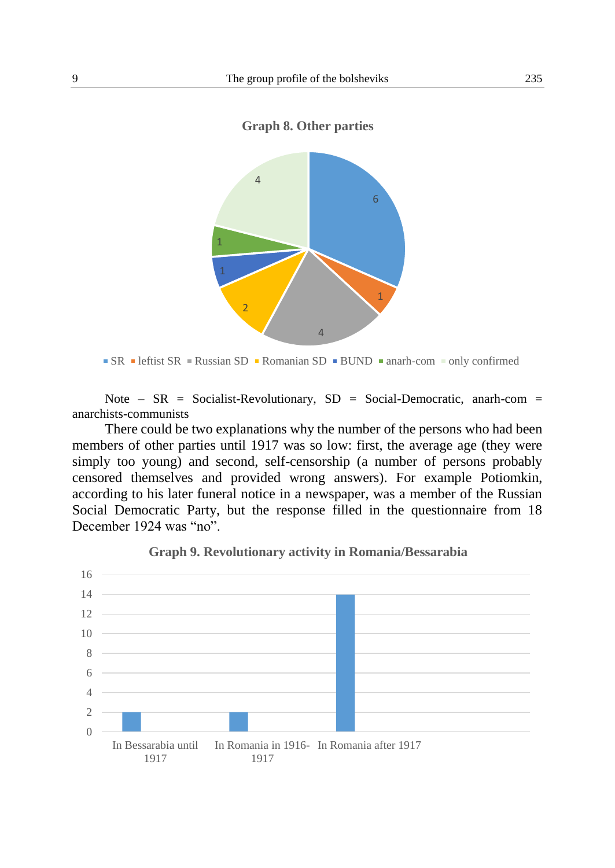



 $\text{SR}$  leftist SR = Russian SD Romanian SD BUND anarh-com solly confirmed

Note –  $SR = Socialist-Revolutionary$ ,  $SD = Social-Democratic$ , anarh-com = anarchists-communists

There could be two explanations why the number of the persons who had been members of other parties until 1917 was so low: first, the average age (they were simply too young) and second, self-censorship (a number of persons probably censored themselves and provided wrong answers). For example Potiomkin, according to his later funeral notice in a newspaper, was a member of the Russian Social Democratic Party, but the response filled in the questionnaire from 18 December 1924 was "no".



#### **Graph 9. Revolutionary activity in Romania/Bessarabia**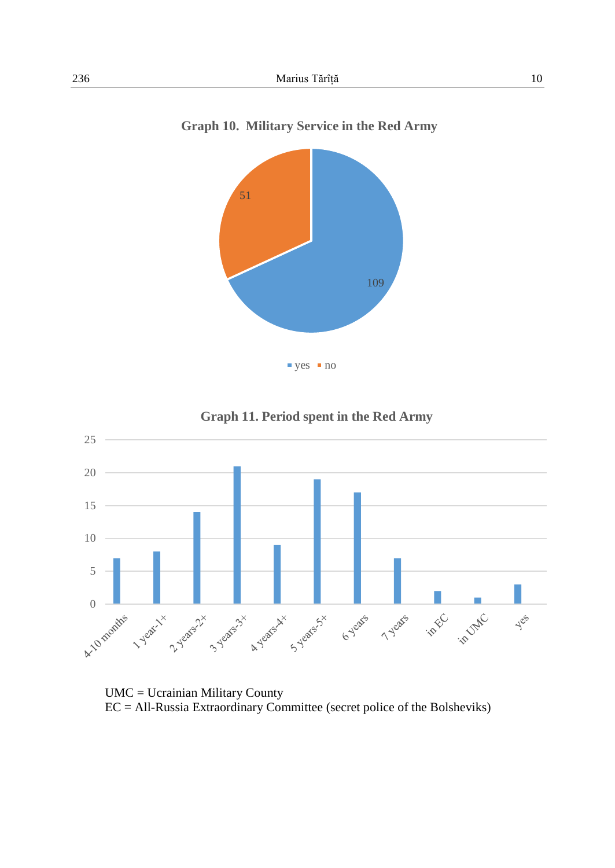

Graph 10. Military Service in the Red Army